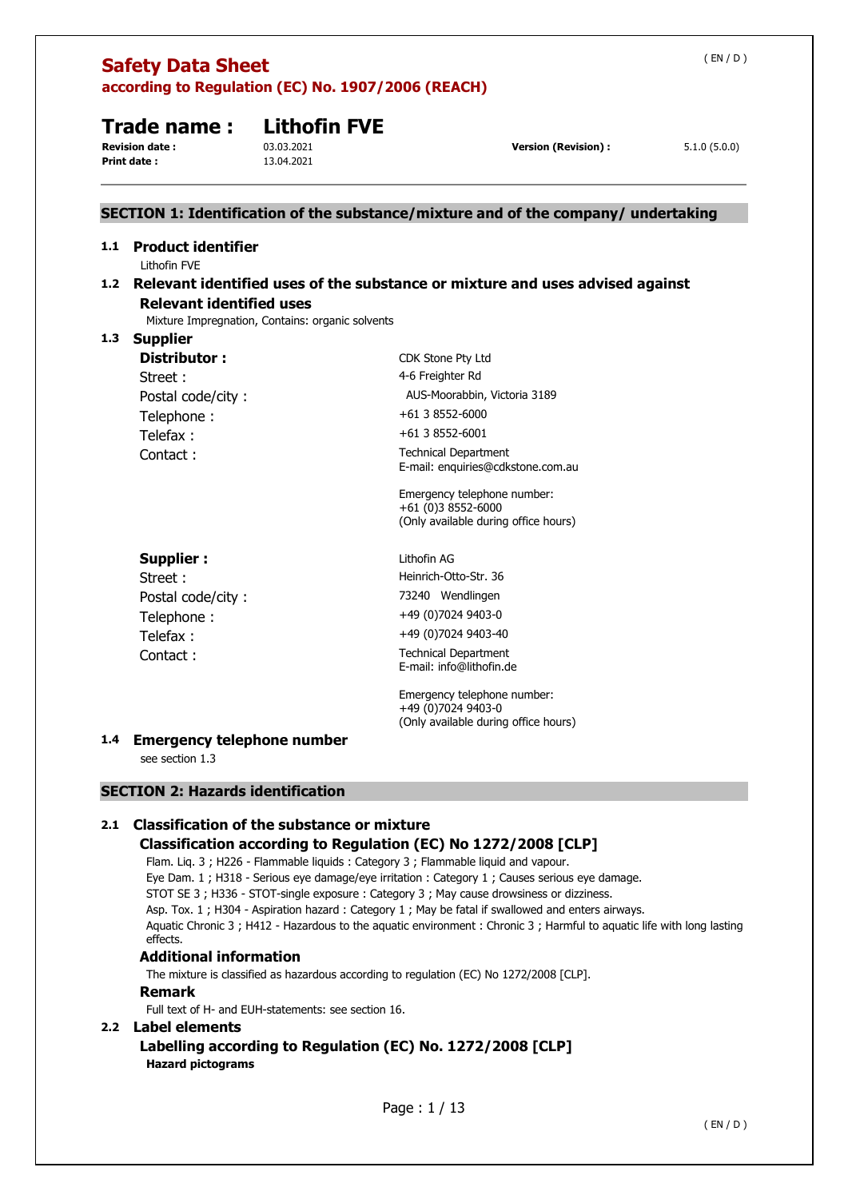|     | (EN/D)<br><b>Safety Data Sheet</b><br>according to Regulation (EC) No. 1907/2006 (REACH)                     |                                                  |                                                                                                                                                                                                                                                                              |              |  |
|-----|--------------------------------------------------------------------------------------------------------------|--------------------------------------------------|------------------------------------------------------------------------------------------------------------------------------------------------------------------------------------------------------------------------------------------------------------------------------|--------------|--|
|     | Trade name:<br><b>Revision date:</b><br><b>Print date:</b>                                                   | <b>Lithofin FVE</b><br>03.03.2021<br>13.04.2021  | <b>Version (Revision):</b>                                                                                                                                                                                                                                                   | 5.1.0(5.0.0) |  |
|     |                                                                                                              |                                                  | SECTION 1: Identification of the substance/mixture and of the company/ undertaking                                                                                                                                                                                           |              |  |
| 1.1 | <b>Product identifier</b><br>Lithofin FVE<br><b>Relevant identified uses</b>                                 | Mixture Impregnation, Contains: organic solvents | 1.2 Relevant identified uses of the substance or mixture and uses advised against                                                                                                                                                                                            |              |  |
| 1.3 | <b>Supplier</b><br><b>Distributor:</b><br>Street:<br>Postal code/city:<br>Telephone:<br>Telefax:<br>Contact: |                                                  | CDK Stone Pty Ltd<br>4-6 Freighter Rd<br>AUS-Moorabbin, Victoria 3189<br>+61 3 8552-6000<br>+61 3 8552-6001<br><b>Technical Department</b><br>E-mail: enquiries@cdkstone.com.au<br>Emergency telephone number:<br>+61 (0)3 8552-6000<br>(Only available during office hours) |              |  |
|     | <b>Supplier:</b><br>Street:<br>Postal code/city:<br>Telephone:<br>Telefax:<br>Contact:                       |                                                  | Lithofin AG<br>Heinrich-Otto-Str. 36<br>73240 Wendlingen<br>+49 (0)7024 9403-0<br>+49 (0)7024 9403-40<br><b>Technical Department</b><br>E-mail: info@lithofin.de<br>Emergency telephone number:<br>+49 (0)7024 9403-0                                                        |              |  |
| 1.4 | <b>Emergency telephone number</b>                                                                            |                                                  | (Only available during office hours)                                                                                                                                                                                                                                         |              |  |

see section 1.3

# **SECTION 2: Hazards identification**

# **2.1 Classification of the substance or mixture**

# **Classification according to Regulation (EC) No 1272/2008 [CLP]**

Flam. Liq. 3 ; H226 - Flammable liquids : Category 3 ; Flammable liquid and vapour. Eye Dam. 1 ; H318 - Serious eye damage/eye irritation : Category 1 ; Causes serious eye damage. STOT SE 3 ; H336 - STOT-single exposure : Category 3 ; May cause drowsiness or dizziness. Asp. Tox. 1 ; H304 - Aspiration hazard : Category 1 ; May be fatal if swallowed and enters airways. Aquatic Chronic 3 ; H412 - Hazardous to the aquatic environment : Chronic 3 ; Harmful to aquatic life with long lasting effects.

# **Additional information**

The mixture is classified as hazardous according to regulation (EC) No 1272/2008 [CLP].

# **Remark**

Full text of H- and EUH-statements: see section 16.

# **2.2 Label elements**

# **Labelling according to Regulation (EC) No. 1272/2008 [CLP] Hazard pictograms**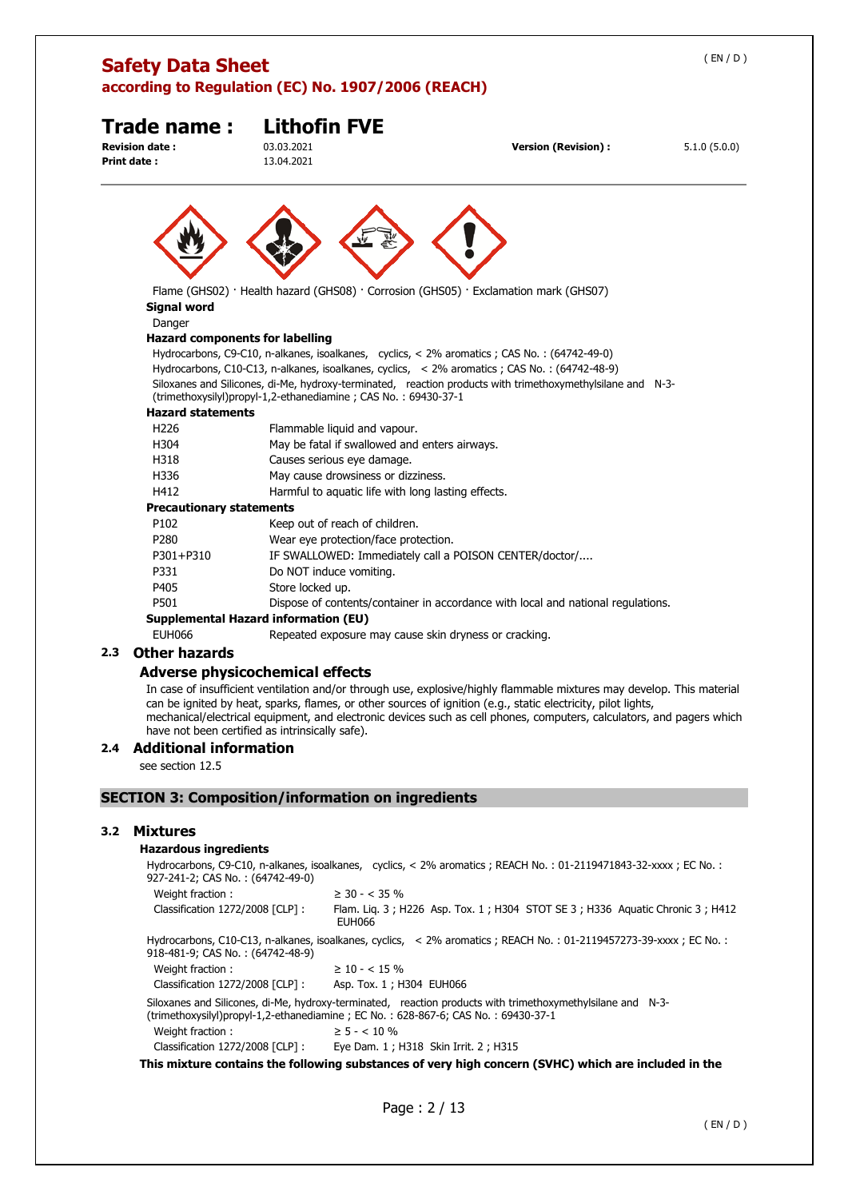| <b>Safety Data Sheet</b>                             | according to Regulation (EC) No. 1907/2006 (REACH)             |                                                                                                                                                                                                             | (EN/D)       |
|------------------------------------------------------|----------------------------------------------------------------|-------------------------------------------------------------------------------------------------------------------------------------------------------------------------------------------------------------|--------------|
| Trade name :<br><b>Revision date:</b><br>Print date: | <b>Lithofin FVE</b><br>03.03.2021<br>13.04.2021                | <b>Version (Revision):</b>                                                                                                                                                                                  | 5.1.0(5.0.0) |
|                                                      |                                                                |                                                                                                                                                                                                             |              |
|                                                      |                                                                |                                                                                                                                                                                                             |              |
| <b>Signal word</b><br>Danger                         |                                                                | Flame (GHS02) · Health hazard (GHS08) · Corrosion (GHS05) · Exclamation mark (GHS07)                                                                                                                        |              |
| <b>Hazard components for labelling</b>               |                                                                |                                                                                                                                                                                                             |              |
|                                                      |                                                                | Hydrocarbons, C9-C10, n-alkanes, isoalkanes, cyclics, < 2% aromatics ; CAS No. : (64742-49-0)                                                                                                               |              |
|                                                      | (trimethoxysilyl)propyl-1,2-ethanediamine; CAS No.: 69430-37-1 | Hydrocarbons, C10-C13, n-alkanes, isoalkanes, cyclics, < 2% aromatics ; CAS No.: (64742-48-9)<br>Siloxanes and Silicones, di-Me, hydroxy-terminated, reaction products with trimethoxymethylsilane and N-3- |              |
| <b>Hazard statements</b>                             |                                                                |                                                                                                                                                                                                             |              |
| H <sub>226</sub>                                     | Flammable liquid and vapour.                                   |                                                                                                                                                                                                             |              |

| Flammable liquid and vapour.                                                     |
|----------------------------------------------------------------------------------|
| May be fatal if swallowed and enters airways.                                    |
| Causes serious eye damage.                                                       |
| May cause drowsiness or dizziness.                                               |
| Harmful to aquatic life with long lasting effects.                               |
| Precautionary statements                                                         |
| Keep out of reach of children.                                                   |
| Wear eye protection/face protection.                                             |
| IF SWALLOWED: Immediately call a POISON CENTER/doctor/                           |
| Do NOT induce vomiting.                                                          |
| Store locked up.                                                                 |
| Dispose of contents/container in accordance with local and national regulations. |
| Supplemental Hazard information (EU)                                             |
| Repeated exposure may cause skin dryness or cracking.                            |
|                                                                                  |

# **2.3 Other hazards**

# **Adverse physicochemical effects**

In case of insufficient ventilation and/or through use, explosive/highly flammable mixtures may develop. This material can be ignited by heat, sparks, flames, or other sources of ignition (e.g., static electricity, pilot lights, mechanical/electrical equipment, and electronic devices such as cell phones, computers, calculators, and pagers which have not been certified as intrinsically safe).

## **2.4 Additional information**

see section 12.5

# **SECTION 3: Composition/information on ingredients**

# **3.2 Mixtures**

# **Hazardous ingredients**

Hydrocarbons, C9-C10, n-alkanes, isoalkanes, cyclics, < 2% aromatics ; REACH No. : 01-2119471843-32-xxxx ; EC No. : 927-241-2; CAS No. : (64742-49-0)

| 927-241-2; CAS NO. . (04742-49-0) |                                                                                                                                                                                                 |
|-----------------------------------|-------------------------------------------------------------------------------------------------------------------------------------------------------------------------------------------------|
| Weight fraction:                  | $\geq$ 30 - < 35 %                                                                                                                                                                              |
| Classification 1272/2008 [CLP] :  | Flam. Lig. 3; H226 Asp. Tox. 1; H304 STOT SE 3; H336 Aguatic Chronic 3; H412<br><b>EUH066</b>                                                                                                   |
| 918-481-9; CAS No. : (64742-48-9) | Hydrocarbons, C10-C13, n-alkanes, isoalkanes, cyclics, < 2% aromatics; REACH No.: 01-2119457273-39-xxxx; EC No.:                                                                                |
| Weight fraction:                  | $\geq$ 10 - < 15 %                                                                                                                                                                              |
| Classification 1272/2008 [CLP]:   | Asp. Tox. 1; H304 EUH066                                                                                                                                                                        |
|                                   | Siloxanes and Silicones, di-Me, hydroxy-terminated, reaction products with trimethoxymethylsilane and N-3-<br>(trimethoxysilyl)propyl-1,2-ethanediamine; EC No.: 628-867-6; CAS No.: 69430-37-1 |
| Weight fraction:                  | $\geq 5 - < 10 \%$                                                                                                                                                                              |
| Classification 1272/2008 [CLP]:   | Eye Dam. 1 ; H318 Skin Irrit. 2 ; H315                                                                                                                                                          |
|                                   |                                                                                                                                                                                                 |

**This mixture contains the following substances of very high concern (SVHC) which are included in the**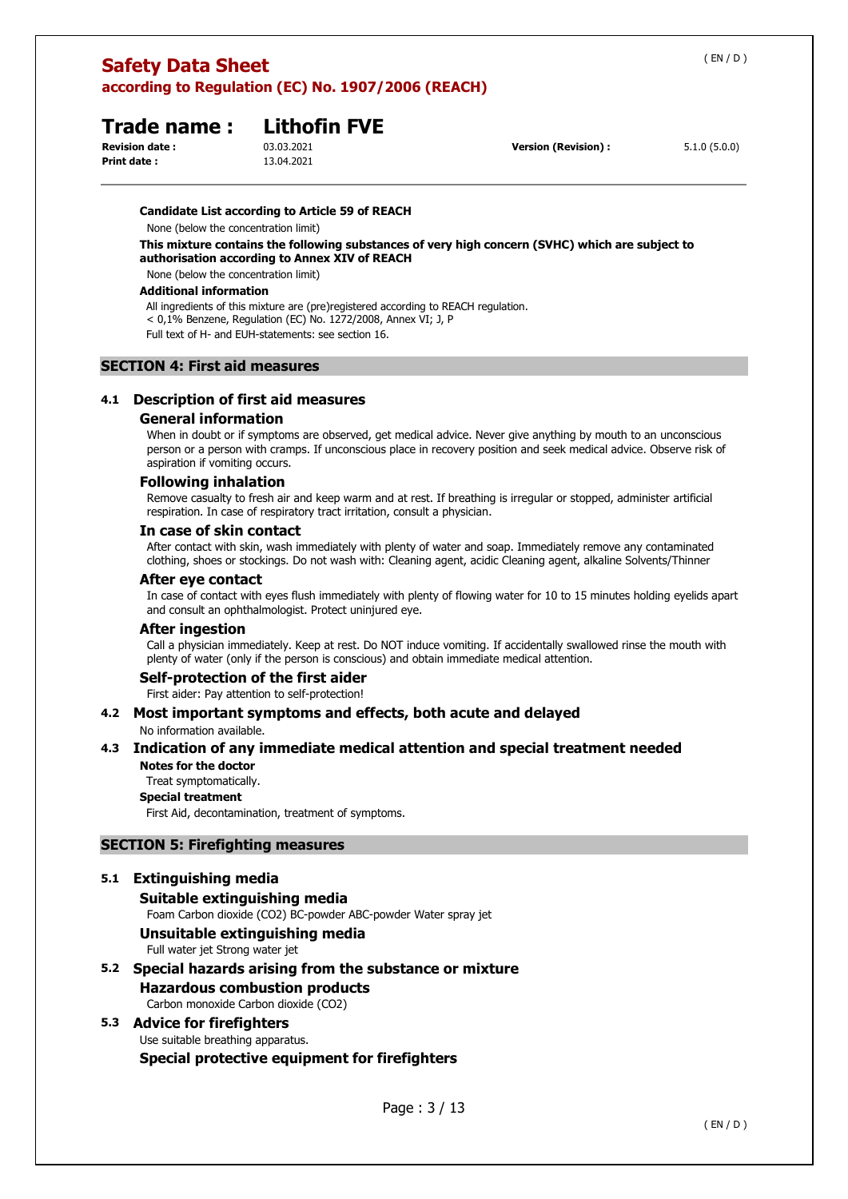| <b>Additional information</b>                                                      |
|------------------------------------------------------------------------------------|
| All ingredients of this mixture are (pre)registered according to REACH regulation. |

< 0,1% Benzene, Regulation (EC) No. 1272/2008, Annex VI; J, P

**according to Regulation (EC) No. 1907/2006 (REACH)** 

**Trade name : Lithofin FVE**

None (below the concentration limit)

None (below the concentration limit)

Full text of H- and EUH-statements: see section 16.

**Candidate List according to Article 59 of REACH**

**authorisation according to Annex XIV of REACH**

# **SECTION 4: First aid measures**

**Safety Data Sheet** 

**Print date :** 13.04.2021

# **4.1 Description of first aid measures**

# **General information**

When in doubt or if symptoms are observed, get medical advice. Never give anything by mouth to an unconscious person or a person with cramps. If unconscious place in recovery position and seek medical advice. Observe risk of aspiration if vomiting occurs.

**This mixture contains the following substances of very high concern (SVHC) which are subject to** 

# **Following inhalation**

Remove casualty to fresh air and keep warm and at rest. If breathing is irregular or stopped, administer artificial respiration. In case of respiratory tract irritation, consult a physician.

# **In case of skin contact**

After contact with skin, wash immediately with plenty of water and soap. Immediately remove any contaminated clothing, shoes or stockings. Do not wash with: Cleaning agent, acidic Cleaning agent, alkaline Solvents/Thinner

# **After eye contact**

In case of contact with eyes flush immediately with plenty of flowing water for 10 to 15 minutes holding eyelids apart and consult an ophthalmologist. Protect uninjured eye.

# **After ingestion**

Call a physician immediately. Keep at rest. Do NOT induce vomiting. If accidentally swallowed rinse the mouth with plenty of water (only if the person is conscious) and obtain immediate medical attention.

# **Self-protection of the first aider**

First aider: Pay attention to self-protection!

**4.2 Most important symptoms and effects, both acute and delayed**  No information available.

#### **4.3 Indication of any immediate medical attention and special treatment needed Notes for the doctor**

Treat symptomatically.

# **Special treatment**

First Aid, decontamination, treatment of symptoms.

# **SECTION 5: Firefighting measures**

# **5.1 Extinguishing media**

**Suitable extinguishing media**  Foam Carbon dioxide (CO2) BC-powder ABC-powder Water spray jet **Unsuitable extinguishing media**  Full water jet Strong water jet

**5.2 Special hazards arising from the substance or mixture Hazardous combustion products**  Carbon monoxide Carbon dioxide (CO2)

# **5.3 Advice for firefighters**  Use suitable breathing apparatus. **Special protective equipment for firefighters**

**Revision date :** 03.03.2021 **Version (Revision) :** 5.1.0 (5.0.0)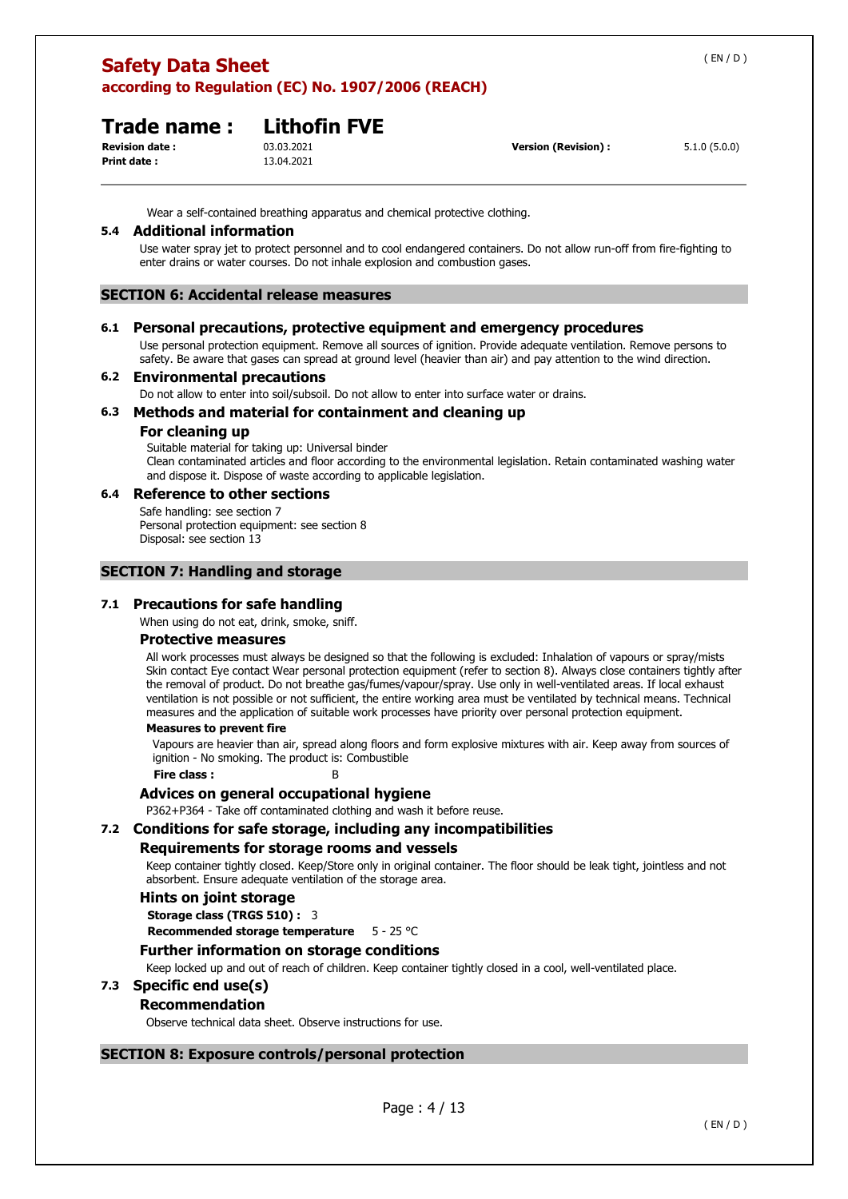# **Trade name : Lithofin FVE**

**Print date :** 13.04.2021

**Revision date :** 03.03.2021 **Version (Revision) :** 5.1.0 (5.0.0)

Wear a self-contained breathing apparatus and chemical protective clothing.

### **5.4 Additional information**

Use water spray jet to protect personnel and to cool endangered containers. Do not allow run-off from fire-fighting to enter drains or water courses. Do not inhale explosion and combustion gases.

# **SECTION 6: Accidental release measures**

### **6.1 Personal precautions, protective equipment and emergency procedures**

Use personal protection equipment. Remove all sources of ignition. Provide adequate ventilation. Remove persons to safety. Be aware that gases can spread at ground level (heavier than air) and pay attention to the wind direction.

### **6.2 Environmental precautions**

Do not allow to enter into soil/subsoil. Do not allow to enter into surface water or drains.

### **6.3 Methods and material for containment and cleaning up**

#### **For cleaning up**

Suitable material for taking up: Universal binder Clean contaminated articles and floor according to the environmental legislation. Retain contaminated washing water and dispose it. Dispose of waste according to applicable legislation.

#### **6.4 Reference to other sections**

Safe handling: see section 7 Personal protection equipment: see section 8 Disposal: see section 13

### **SECTION 7: Handling and storage**

# **7.1 Precautions for safe handling**

When using do not eat, drink, smoke, sniff.

#### **Protective measures**

All work processes must always be designed so that the following is excluded: Inhalation of vapours or spray/mists Skin contact Eye contact Wear personal protection equipment (refer to section 8). Always close containers tightly after the removal of product. Do not breathe gas/fumes/vapour/spray. Use only in well-ventilated areas. If local exhaust ventilation is not possible or not sufficient, the entire working area must be ventilated by technical means. Technical measures and the application of suitable work processes have priority over personal protection equipment.

# **Measures to prevent fire**

Vapours are heavier than air, spread along floors and form explosive mixtures with air. Keep away from sources of ignition - No smoking. The product is: Combustible

**Fire class :** 

#### **Advices on general occupational hygiene**

P362+P364 - Take off contaminated clothing and wash it before reuse.

#### **7.2 Conditions for safe storage, including any incompatibilities**

#### **Requirements for storage rooms and vessels**

Keep container tightly closed. Keep/Store only in original container. The floor should be leak tight, jointless and not absorbent. Ensure adequate ventilation of the storage area.

### **Hints on joint storage**

**Storage class (TRGS 510) :** 3

**Recommended storage temperature** 5 - 25 °C

#### **Further information on storage conditions**

Keep locked up and out of reach of children. Keep container tightly closed in a cool, well-ventilated place.

# **7.3 Specific end use(s)**

#### **Recommendation**

Observe technical data sheet. Observe instructions for use.

# **SECTION 8: Exposure controls/personal protection**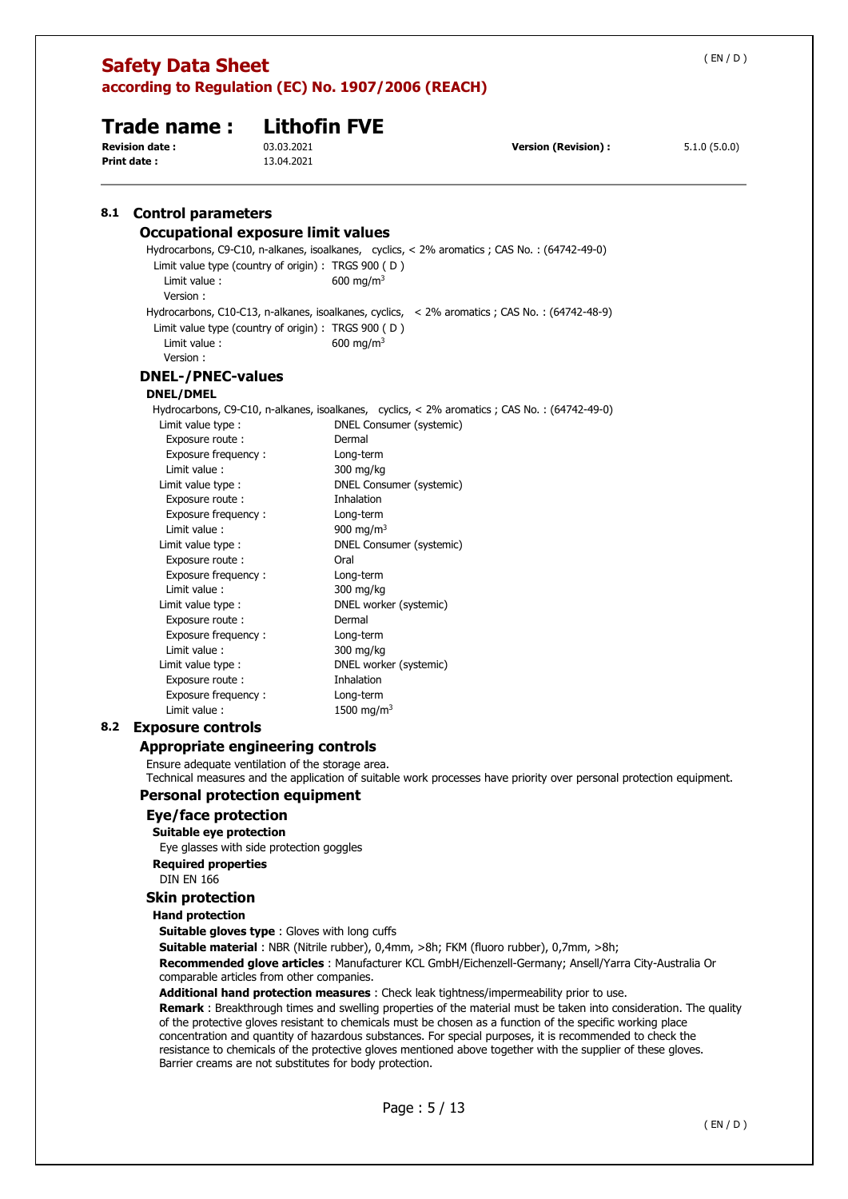|     | <b>Safety Data Sheet</b><br>according to Regulation (EC) No. 1907/2006 (REACH)                                                                                                                                                                                                                                                                          |                          |                                                                                                                                                                                                                                                                                                    |                                                                                                                                                                                                                                                                                                                                                                                                                                               | (EN/D)       |
|-----|---------------------------------------------------------------------------------------------------------------------------------------------------------------------------------------------------------------------------------------------------------------------------------------------------------------------------------------------------------|--------------------------|----------------------------------------------------------------------------------------------------------------------------------------------------------------------------------------------------------------------------------------------------------------------------------------------------|-----------------------------------------------------------------------------------------------------------------------------------------------------------------------------------------------------------------------------------------------------------------------------------------------------------------------------------------------------------------------------------------------------------------------------------------------|--------------|
|     |                                                                                                                                                                                                                                                                                                                                                         |                          |                                                                                                                                                                                                                                                                                                    |                                                                                                                                                                                                                                                                                                                                                                                                                                               |              |
|     | <b>Trade name:</b>                                                                                                                                                                                                                                                                                                                                      |                          | <b>Lithofin FVE</b>                                                                                                                                                                                                                                                                                |                                                                                                                                                                                                                                                                                                                                                                                                                                               |              |
|     | <b>Revision date:</b><br>Print date :                                                                                                                                                                                                                                                                                                                   | 03.03.2021<br>13.04.2021 |                                                                                                                                                                                                                                                                                                    | <b>Version (Revision):</b>                                                                                                                                                                                                                                                                                                                                                                                                                    | 5.1.0(5.0.0) |
| 8.1 | <b>Control parameters</b>                                                                                                                                                                                                                                                                                                                               |                          |                                                                                                                                                                                                                                                                                                    |                                                                                                                                                                                                                                                                                                                                                                                                                                               |              |
|     | <b>Occupational exposure limit values</b>                                                                                                                                                                                                                                                                                                               |                          |                                                                                                                                                                                                                                                                                                    |                                                                                                                                                                                                                                                                                                                                                                                                                                               |              |
|     | Limit value type (country of origin) : TRGS 900 (D)<br>Limit value:<br>Version:                                                                                                                                                                                                                                                                         |                          | 600 mg/m <sup>3</sup>                                                                                                                                                                                                                                                                              | Hydrocarbons, C9-C10, n-alkanes, isoalkanes, cyclics, < 2% aromatics ; CAS No. : (64742-49-0)                                                                                                                                                                                                                                                                                                                                                 |              |
|     | Limit value type (country of origin) : TRGS $900$ (D)<br>Limit value:<br>Version:                                                                                                                                                                                                                                                                       |                          | 600 mg/m <sup>3</sup>                                                                                                                                                                                                                                                                              | Hydrocarbons, C10-C13, n-alkanes, isoalkanes, cyclics, < 2% aromatics ; CAS No.: (64742-48-9)                                                                                                                                                                                                                                                                                                                                                 |              |
|     |                                                                                                                                                                                                                                                                                                                                                         |                          |                                                                                                                                                                                                                                                                                                    |                                                                                                                                                                                                                                                                                                                                                                                                                                               |              |
|     | <b>DNEL-/PNEC-values</b><br><b>DNEL/DMEL</b>                                                                                                                                                                                                                                                                                                            |                          |                                                                                                                                                                                                                                                                                                    |                                                                                                                                                                                                                                                                                                                                                                                                                                               |              |
|     | Limit value type :<br>Exposure route :<br>Exposure frequency:<br>Limit value :<br>Limit value type :<br>Exposure route:<br>Exposure frequency:<br>Limit value :<br>Limit value type :<br>Exposure route:<br>Exposure frequency:<br>Limit value :<br>Limit value type :<br>Exposure route:<br>Exposure frequency:<br>Limit value :<br>Limit value type : |                          | DNEL Consumer (systemic)<br>Dermal<br>Long-term<br>300 mg/kg<br>DNEL Consumer (systemic)<br>Inhalation<br>Long-term<br>900 mg/m <sup>3</sup><br>DNEL Consumer (systemic)<br>Oral<br>Long-term<br>300 mg/kg<br>DNEL worker (systemic)<br>Dermal<br>Long-term<br>300 mg/kg<br>DNEL worker (systemic) | Hydrocarbons, C9-C10, n-alkanes, isoalkanes, cyclics, < 2% aromatics ; CAS No. : (64742-49-0)                                                                                                                                                                                                                                                                                                                                                 |              |
|     | Exposure route:                                                                                                                                                                                                                                                                                                                                         |                          | Inhalation                                                                                                                                                                                                                                                                                         |                                                                                                                                                                                                                                                                                                                                                                                                                                               |              |
|     | Exposure frequency:<br>Limit value :                                                                                                                                                                                                                                                                                                                    |                          | Long-term<br>1500 mg/m <sup>3</sup>                                                                                                                                                                                                                                                                |                                                                                                                                                                                                                                                                                                                                                                                                                                               |              |
| 8.2 | <b>Exposure controls</b>                                                                                                                                                                                                                                                                                                                                |                          |                                                                                                                                                                                                                                                                                                    |                                                                                                                                                                                                                                                                                                                                                                                                                                               |              |
|     | <b>Appropriate engineering controls</b><br>Ensure adequate ventilation of the storage area.                                                                                                                                                                                                                                                             |                          |                                                                                                                                                                                                                                                                                                    | Technical measures and the application of suitable work processes have priority over personal protection equipment.                                                                                                                                                                                                                                                                                                                           |              |
|     | <b>Personal protection equipment</b>                                                                                                                                                                                                                                                                                                                    |                          |                                                                                                                                                                                                                                                                                                    |                                                                                                                                                                                                                                                                                                                                                                                                                                               |              |
|     | <b>Eye/face protection</b><br>Suitable eye protection<br>Eye glasses with side protection goggles                                                                                                                                                                                                                                                       |                          |                                                                                                                                                                                                                                                                                                    |                                                                                                                                                                                                                                                                                                                                                                                                                                               |              |
|     | <b>Required properties</b><br><b>DIN EN 166</b>                                                                                                                                                                                                                                                                                                         |                          |                                                                                                                                                                                                                                                                                                    |                                                                                                                                                                                                                                                                                                                                                                                                                                               |              |
|     | <b>Skin protection</b>                                                                                                                                                                                                                                                                                                                                  |                          |                                                                                                                                                                                                                                                                                                    |                                                                                                                                                                                                                                                                                                                                                                                                                                               |              |
|     | <b>Hand protection</b>                                                                                                                                                                                                                                                                                                                                  |                          |                                                                                                                                                                                                                                                                                                    |                                                                                                                                                                                                                                                                                                                                                                                                                                               |              |
|     | <b>Suitable gloves type:</b> Gloves with long cuffs<br>comparable articles from other companies.                                                                                                                                                                                                                                                        |                          |                                                                                                                                                                                                                                                                                                    | <b>Suitable material</b> : NBR (Nitrile rubber), 0,4mm, >8h; FKM (fluoro rubber), 0,7mm, >8h;<br>Recommended glove articles : Manufacturer KCL GmbH/Eichenzell-Germany; Ansell/Yarra City-Australia Or                                                                                                                                                                                                                                        |              |
|     |                                                                                                                                                                                                                                                                                                                                                         |                          |                                                                                                                                                                                                                                                                                                    | Additional hand protection measures : Check leak tightness/impermeability prior to use.<br><b>Remark</b> : Breakthrough times and swelling properties of the material must be taken into consideration. The quality<br>of the protective gloves resistant to chemicals must be chosen as a function of the specific working place<br>concentration and quantity of hazardous substances. For special purposes, it is recommended to check the |              |

resistance to chemicals of the protective gloves mentioned above together with the supplier of these gloves. Barrier creams are not substitutes for body protection.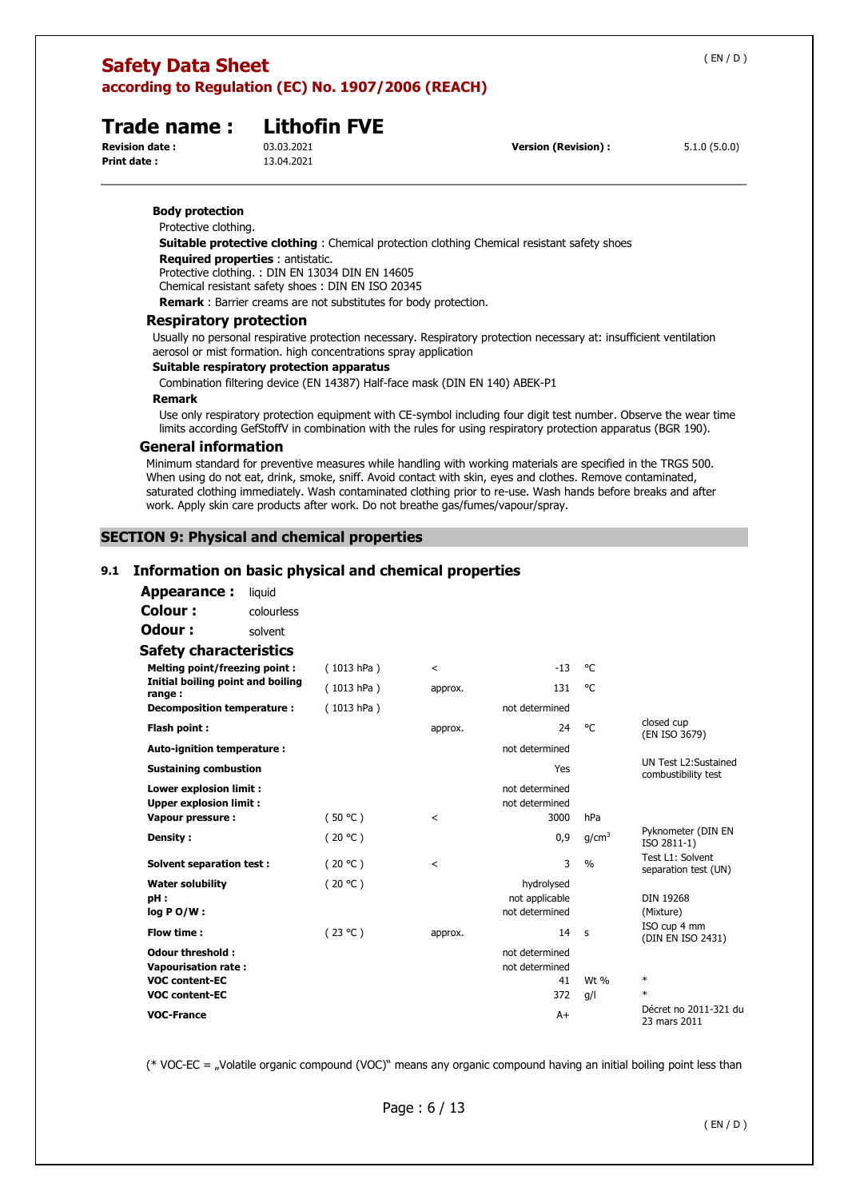**Body protection**  Protective clothing.

# **Trade name : Lithofin FVE**<br>Revision date : 03.03.2021

**Print date :** 13.04.2021

**Revision (Revision) : EXECUTE: Revision**) :  $5.1.0 (5.0.0)$ 

**Suitable protective clothing** : Chemical protection clothing Chemical resistant safety shoes

**Required properties** : antistatic.

Protective clothing. : DIN EN 13034 DIN EN 14605

Chemical resistant safety shoes : DIN EN ISO 20345

**Remark** : Barrier creams are not substitutes for body protection.

# **Respiratory protection**

Usually no personal respirative protection necessary. Respiratory protection necessary at: insufficient ventilation aerosol or mist formation. high concentrations spray application

# **Suitable respiratory protection apparatus**

Combination filtering device (EN 14387) Half-face mask (DIN EN 140) ABEK-P1

#### **Remark**

Use only respiratory protection equipment with CE-symbol including four digit test number. Observe the wear time limits according GefStoffV in combination with the rules for using respiratory protection apparatus (BGR 190).

#### **General information**

Minimum standard for preventive measures while handling with working materials are specified in the TRGS 500. When using do not eat, drink, smoke, sniff. Avoid contact with skin, eyes and clothes. Remove contaminated, saturated clothing immediately. Wash contaminated clothing prior to re-use. Wash hands before breaks and after work. Apply skin care products after work. Do not breathe gas/fumes/vapour/spray.

# **SECTION 9: Physical and chemical properties**

# **9.1 Information on basic physical and chemical properties**

| <b>Appearance:</b>                                       | liquid     |            |                          |                                  |                   |                                              |
|----------------------------------------------------------|------------|------------|--------------------------|----------------------------------|-------------------|----------------------------------------------|
| Colour:                                                  | colourless |            |                          |                                  |                   |                                              |
| Odour:                                                   | solvent    |            |                          |                                  |                   |                                              |
| <b>Safety characteristics</b>                            |            |            |                          |                                  |                   |                                              |
| Melting point/freezing point:                            |            | (1013 hPa) | $\overline{\phantom{a}}$ | $-13$                            | °€                |                                              |
| Initial boiling point and boiling<br>range:              |            | (1013 hPa) | approx.                  | 131                              | °€                |                                              |
| Decomposition temperature :                              |            | (1013 hPa) |                          | not determined                   |                   |                                              |
| Flash point:                                             |            |            | approx.                  | 24                               | $^{\circ}$ C      | closed cup<br>(EN ISO 3679)                  |
| Auto-ignition temperature :                              |            |            |                          | not determined                   |                   |                                              |
| <b>Sustaining combustion</b>                             |            |            |                          | Yes                              |                   | UN Test L2: Sustained<br>combustibility test |
| Lower explosion limit :<br><b>Upper explosion limit:</b> |            |            |                          | not determined<br>not determined |                   |                                              |
| Vapour pressure :                                        |            | (50 °C)    | $\overline{\phantom{a}}$ | 3000                             | hPa               |                                              |
| Density:                                                 |            | (20 °C)    |                          | 0,9                              | q/cm <sup>3</sup> | Pyknometer (DIN EN<br>ISO 2811-1)            |
| <b>Solvent separation test:</b>                          |            | (20 °C)    | $\prec$                  | 3                                | $\frac{0}{0}$     | Test L1: Solvent<br>separation test (UN)     |
| <b>Water solubility</b>                                  |            | (20 °C)    |                          | hydrolysed                       |                   |                                              |
| pH:                                                      |            |            |                          | not applicable                   |                   | <b>DIN 19268</b>                             |
| $log PO/W$ :                                             |            |            |                          | not determined                   |                   | (Mixture)                                    |
| Flow time:                                               |            | (23 °C)    | approx.                  | 14                               | s                 | ISO cup 4 mm<br>(DIN EN ISO 2431)            |
| <b>Odour threshold:</b>                                  |            |            |                          | not determined                   |                   |                                              |
| <b>Vapourisation rate:</b>                               |            |            |                          | not determined                   |                   |                                              |
| <b>VOC content-EC</b>                                    |            |            |                          | 41                               | Wt %              | $\ast$                                       |
| <b>VOC content-EC</b>                                    |            |            |                          | 372                              | q/l               | $\ast$                                       |
| <b>VOC-France</b>                                        |            |            |                          | $A+$                             |                   | Décret no 2011-321 du<br>23 mars 2011        |

(\* VOC-EC = "Volatile organic compound (VOC)" means any organic compound having an initial boiling point less than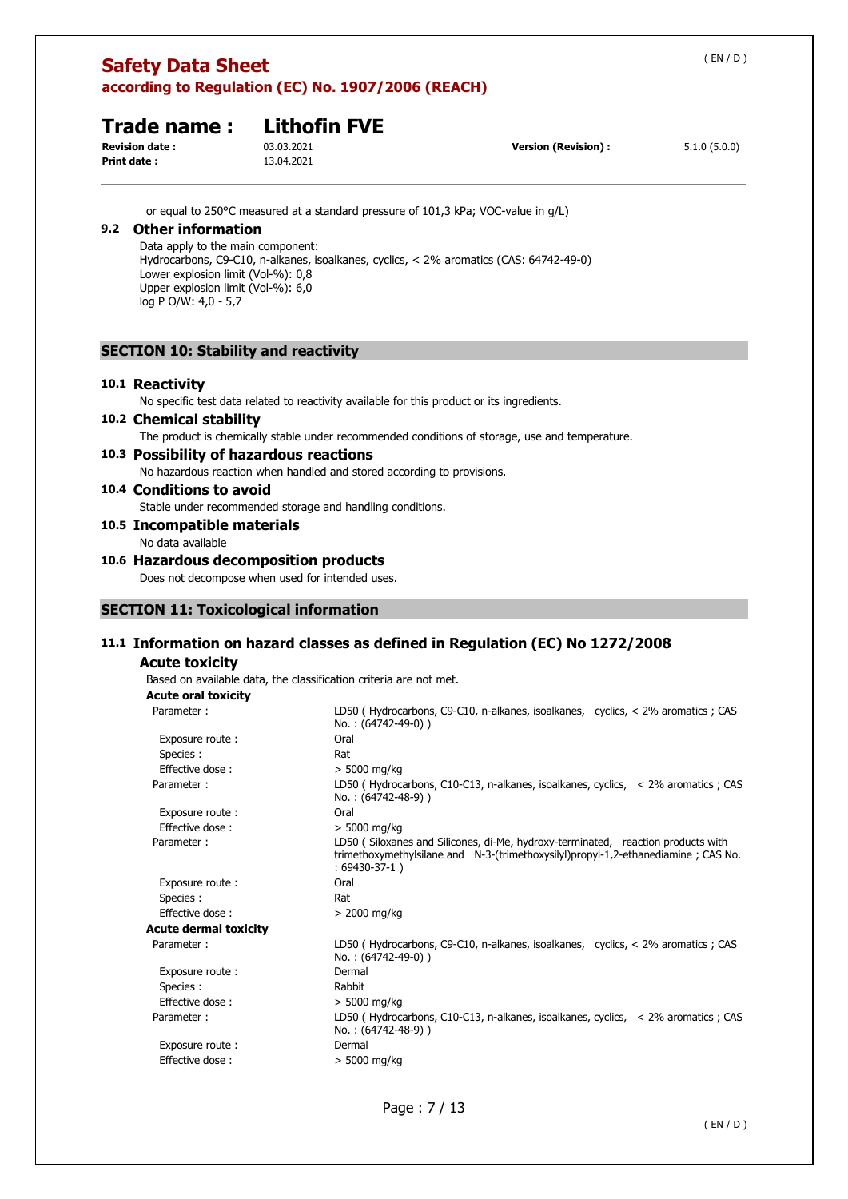|     | <b>Safety Data Sheet</b><br>according to Regulation (EC) No. 1907/2006 (REACH)                                                                                    |                                                                                                                                                                                 |                                                                                                |              |  |
|-----|-------------------------------------------------------------------------------------------------------------------------------------------------------------------|---------------------------------------------------------------------------------------------------------------------------------------------------------------------------------|------------------------------------------------------------------------------------------------|--------------|--|
|     | Trade name:<br><b>Revision date:</b><br><b>Print date:</b>                                                                                                        | <b>Lithofin FVE</b><br>03.03.2021<br>13.04.2021                                                                                                                                 | <b>Version (Revision):</b>                                                                     | 5.1.0(5.0.0) |  |
| 9.2 | <b>Other information</b><br>Data apply to the main component:<br>Lower explosion limit (Vol-%): 0,8<br>Upper explosion limit (Vol-%): 6,0<br>log P O/W: 4,0 - 5,7 | or equal to 250 °C measured at a standard pressure of 101,3 kPa; VOC-value in $q/L$ )<br>Hydrocarbons, C9-C10, n-alkanes, isoalkanes, cyclics, < 2% aromatics (CAS: 64742-49-0) |                                                                                                |              |  |
|     | <b>SECTION 10: Stability and reactivity</b>                                                                                                                       |                                                                                                                                                                                 |                                                                                                |              |  |
|     | 10.1 Reactivity<br>10.2 Chemical stability                                                                                                                        | No specific test data related to reactivity available for this product or its ingredients.                                                                                      | The product is chemically stable under recommended conditions of storage, use and temperature. |              |  |
|     |                                                                                                                                                                   | 10.3 Possibility of hazardous reactions<br>No hazardous reaction when handled and stored according to provisions.                                                               |                                                                                                |              |  |
|     | 10.4 Conditions to avoid<br>10.5 Incompatible materials                                                                                                           | Stable under recommended storage and handling conditions.                                                                                                                       |                                                                                                |              |  |
|     | No data available                                                                                                                                                 |                                                                                                                                                                                 |                                                                                                |              |  |
|     |                                                                                                                                                                   | 10.6 Hazardous decomposition products<br>Does not decompose when used for intended uses.                                                                                        |                                                                                                |              |  |
|     |                                                                                                                                                                   | <b>SECTION 11: Toxicological information</b>                                                                                                                                    |                                                                                                |              |  |
|     |                                                                                                                                                                   |                                                                                                                                                                                 | 11.1 Information on hazard classes as defined in Regulation (EC) No 1272/2008                  |              |  |
|     | <b>Acute toxicity</b><br><b>Acute oral toxicity</b>                                                                                                               | Based on available data, the classification criteria are not met.                                                                                                               |                                                                                                |              |  |
|     | Parameter:                                                                                                                                                        |                                                                                                                                                                                 | LD50 (Hydrocarbons, C9-C10, n-alkanes, isoalkanes, cyclics, < 2% aromatics ; CAS               |              |  |

| י טוטוויגנט ו         | LDJ0 (Tryurocarbons, CJ CI0, it alivancs, isoalivancs, Cyclics, N Z 70 aromatics , CAJ<br>No.: (64742-49-0))                                                                             |
|-----------------------|------------------------------------------------------------------------------------------------------------------------------------------------------------------------------------------|
| Exposure route:       | Oral                                                                                                                                                                                     |
| Species :             | Rat                                                                                                                                                                                      |
| Effective dose:       | $> 5000$ mg/kg                                                                                                                                                                           |
| Parameter:            | LD50 (Hydrocarbons, C10-C13, n-alkanes, isoalkanes, cyclics, $\leq$ 2% aromatics; CAS<br>No.: (64742-48-9))                                                                              |
| Exposure route:       | Oral                                                                                                                                                                                     |
| Effective dose:       | $> 5000$ mg/kg                                                                                                                                                                           |
| Parameter:            | LD50 (Siloxanes and Silicones, di-Me, hydroxy-terminated, reaction products with<br>trimethoxymethylsilane and N-3-(trimethoxysilyl)propyl-1,2-ethanediamine ; CAS No.<br>$:69430-37-1)$ |
| Exposure route:       | Oral                                                                                                                                                                                     |
| Species :             | Rat                                                                                                                                                                                      |
| Effective dose:       | $>$ 2000 mg/kg                                                                                                                                                                           |
| Acute dermal toxicity |                                                                                                                                                                                          |
| Parameter:            | LD50 (Hydrocarbons, C9-C10, n-alkanes, isoalkanes, cyclics, < 2% aromatics ; CAS<br>No.: (64742-49-0))                                                                                   |
| Exposure route:       | Dermal                                                                                                                                                                                   |
| Species :             | Rabbit                                                                                                                                                                                   |
| Effective dose:       | $> 5000$ mg/kg                                                                                                                                                                           |
| Parameter:            | LD50 (Hydrocarbons, C10-C13, n-alkanes, isoalkanes, cyclics, $\leq$ 2% aromatics; CAS<br>No.: (64742-48-9))                                                                              |
| Exposure route:       | Dermal                                                                                                                                                                                   |
| Effective dose:       | > 5000 mg/kg                                                                                                                                                                             |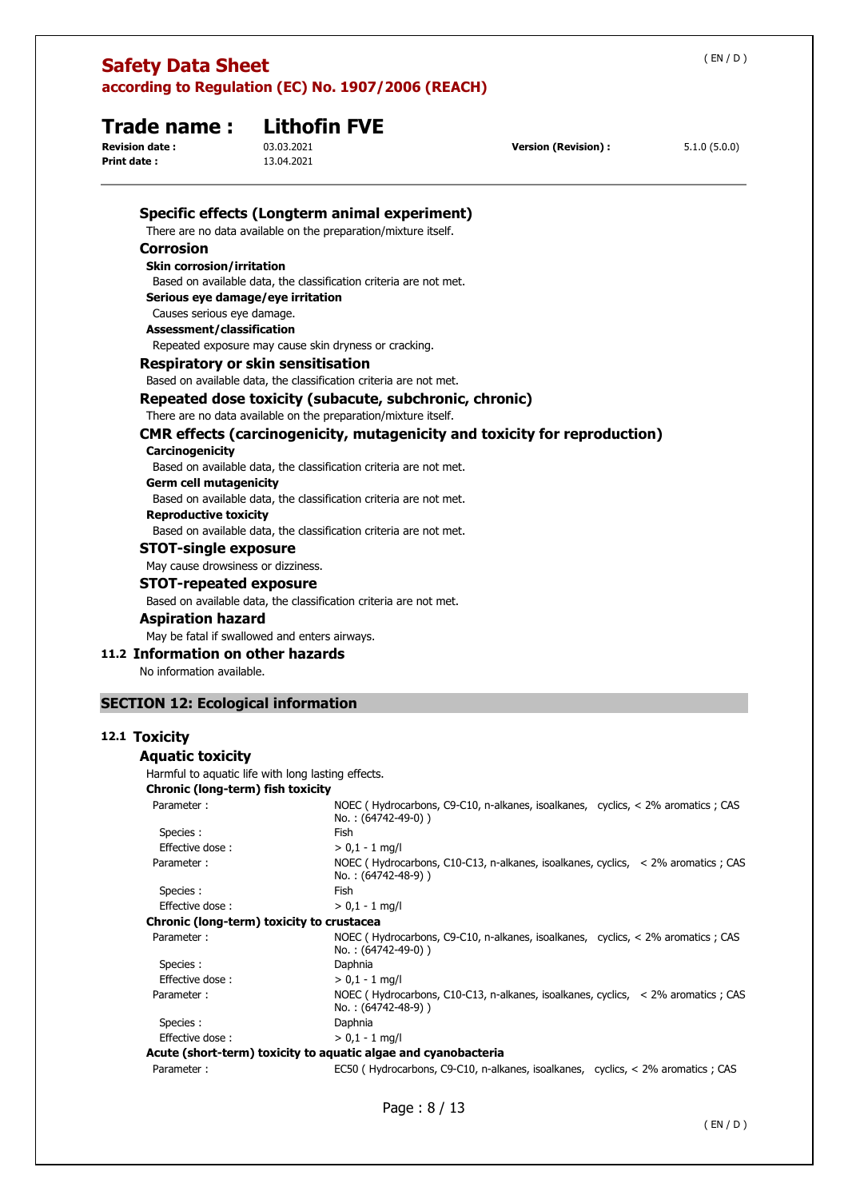| <b>Print date:</b>           | 13.04.2021                                                        |                                                                                                         |  |  |  |
|------------------------------|-------------------------------------------------------------------|---------------------------------------------------------------------------------------------------------|--|--|--|
|                              |                                                                   | Specific effects (Longterm animal experiment)                                                           |  |  |  |
|                              | There are no data available on the preparation/mixture itself.    |                                                                                                         |  |  |  |
| <b>Corrosion</b>             |                                                                   |                                                                                                         |  |  |  |
|                              | <b>Skin corrosion/irritation</b>                                  |                                                                                                         |  |  |  |
|                              |                                                                   | Based on available data, the classification criteria are not met.                                       |  |  |  |
|                              | Serious eye damage/eye irritation                                 |                                                                                                         |  |  |  |
|                              | Causes serious eye damage.                                        |                                                                                                         |  |  |  |
|                              | Assessment/classification                                         |                                                                                                         |  |  |  |
|                              | Repeated exposure may cause skin dryness or cracking.             |                                                                                                         |  |  |  |
|                              | <b>Respiratory or skin sensitisation</b>                          |                                                                                                         |  |  |  |
|                              | Based on available data, the classification criteria are not met. |                                                                                                         |  |  |  |
|                              | Repeated dose toxicity (subacute, subchronic, chronic)            |                                                                                                         |  |  |  |
|                              | There are no data available on the preparation/mixture itself.    |                                                                                                         |  |  |  |
|                              |                                                                   | <b>CMR effects (carcinogenicity, mutagenicity and toxicity for reproduction)</b>                        |  |  |  |
| Carcinogenicity              |                                                                   |                                                                                                         |  |  |  |
|                              |                                                                   | Based on available data, the classification criteria are not met.                                       |  |  |  |
|                              | Germ cell mutagenicity                                            |                                                                                                         |  |  |  |
|                              |                                                                   | Based on available data, the classification criteria are not met.                                       |  |  |  |
| <b>Reproductive toxicity</b> |                                                                   |                                                                                                         |  |  |  |
|                              |                                                                   | Based on available data, the classification criteria are not met.                                       |  |  |  |
|                              | <b>STOT-single exposure</b>                                       |                                                                                                         |  |  |  |
|                              | May cause drowsiness or dizziness.                                |                                                                                                         |  |  |  |
|                              | <b>STOT-repeated exposure</b>                                     |                                                                                                         |  |  |  |
|                              |                                                                   | Based on available data, the classification criteria are not met.                                       |  |  |  |
|                              |                                                                   |                                                                                                         |  |  |  |
| <b>Aspiration hazard</b>     |                                                                   |                                                                                                         |  |  |  |
|                              | May be fatal if swallowed and enters airways.                     |                                                                                                         |  |  |  |
|                              | 11.2 Information on other hazards                                 |                                                                                                         |  |  |  |
| No information available.    |                                                                   |                                                                                                         |  |  |  |
|                              | <b>SECTION 12: Ecological information</b>                         |                                                                                                         |  |  |  |
|                              |                                                                   |                                                                                                         |  |  |  |
| 12.1 Toxicity                |                                                                   |                                                                                                         |  |  |  |
| <b>Aquatic toxicity</b>      |                                                                   |                                                                                                         |  |  |  |
|                              | Harmful to aquatic life with long lasting effects.                |                                                                                                         |  |  |  |
|                              | Chronic (long-term) fish toxicity                                 |                                                                                                         |  |  |  |
| Parameter:                   |                                                                   | NOEC (Hydrocarbons, C9-C10, n-alkanes, isoalkanes, cyclics, < 2% aromatics ; CAS<br>No.: (64742-49-0))  |  |  |  |
| Species :                    |                                                                   | Fish                                                                                                    |  |  |  |
| Effective dose:              |                                                                   | $> 0,1 - 1$ mg/l                                                                                        |  |  |  |
| Parameter:                   |                                                                   | NOEC (Hydrocarbons, C10-C13, n-alkanes, isoalkanes, cyclics, < 2% aromatics ; CAS<br>No.: (64742-48-9)) |  |  |  |
| Species :                    |                                                                   | Fish                                                                                                    |  |  |  |
| Effective dose:              |                                                                   | $> 0,1 - 1$ mg/l                                                                                        |  |  |  |
|                              | Chronic (long-term) toxicity to crustacea                         |                                                                                                         |  |  |  |
| Parameter:                   |                                                                   | NOEC (Hydrocarbons, C9-C10, n-alkanes, isoalkanes, cyclics, < 2% aromatics ; CAS<br>No.: (64742-49-0))  |  |  |  |
| Species :                    |                                                                   | Daphnia                                                                                                 |  |  |  |
| Effective dose:              |                                                                   | $> 0.1 - 1$ mg/l                                                                                        |  |  |  |
| Parameter:                   |                                                                   | NOEC (Hydrocarbons, C10-C13, n-alkanes, isoalkanes, cyclics, < 2% aromatics ; CAS<br>No.: (64742-48-9)) |  |  |  |
| Species :                    |                                                                   | Daphnia                                                                                                 |  |  |  |
| Effective dose:              |                                                                   | $> 0.1 - 1$ mg/l                                                                                        |  |  |  |
|                              |                                                                   | Acute (short-term) toxicity to aquatic algae and cyanobacteria                                          |  |  |  |
| Parameter:                   |                                                                   | EC50 (Hydrocarbons, C9-C10, n-alkanes, isoalkanes, cyclics, < 2% aromatics; CAS                         |  |  |  |

# **Trade name : Lithofin FVE**<br>Revision date : 03.03.2021

**Version (Revision) :** 5.1.0 (5.0.0)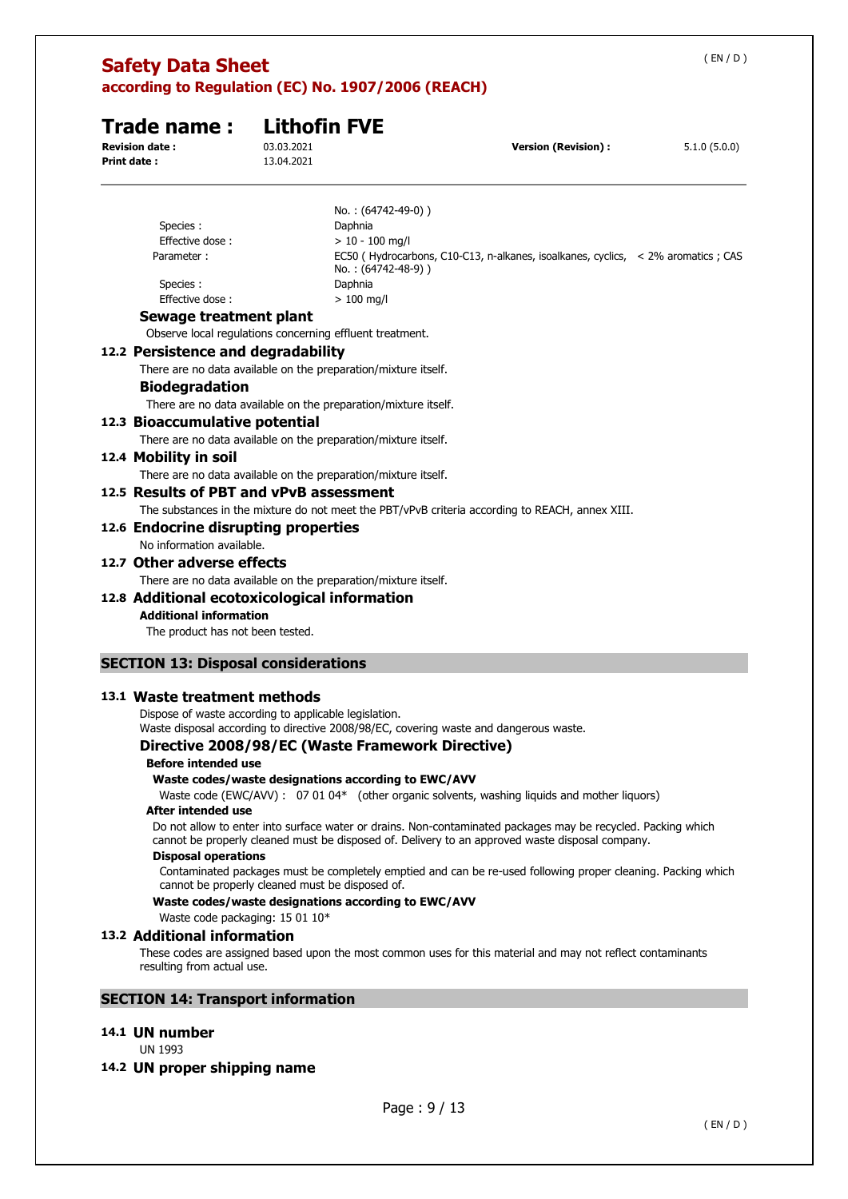# **Trade name : Lithofin FVE**

**Print date :** 13.04.2021

**Revision date :** 03.03.2021 **Version (Revision) :** 5.1.0 (5.0.0)

|                                                                | No.: (64742-49-0))                                                                                     |
|----------------------------------------------------------------|--------------------------------------------------------------------------------------------------------|
| Species :                                                      | Daphnia                                                                                                |
| Effective dose:                                                | $> 10 - 100$ mg/l                                                                                      |
| Parameter:                                                     | EC50 (Hydrocarbons, C10-C13, n-alkanes, isoalkanes, cyclics, < 2% aromatics; CAS<br>No.: (64742-48-9)) |
| Species:                                                       | Daphnia                                                                                                |
| Effective dose:                                                | $>100$ mg/l                                                                                            |
| Sewage treatment plant                                         |                                                                                                        |
| Observe local regulations concerning effluent treatment.       |                                                                                                        |
| 12.2 Persistence and degradability                             |                                                                                                        |
| There are no data available on the preparation/mixture itself. |                                                                                                        |
| <b>Biodegradation</b>                                          |                                                                                                        |
| There are no data available on the preparation/mixture itself. |                                                                                                        |
| 12.3 Bioaccumulative potential                                 |                                                                                                        |
| There are no data available on the preparation/mixture itself. |                                                                                                        |
| 12.4 Mobility in soil                                          |                                                                                                        |
| There are no data available on the preparation/mixture itself. |                                                                                                        |
| 12.5 Results of PBT and vPvB assessment                        |                                                                                                        |
|                                                                | The substances in the mixture do not meet the PBT/vPvB criteria according to REACH, annex XIII.        |
| 12.6 Endocrine disrupting properties                           |                                                                                                        |
| No information available.                                      |                                                                                                        |
| 12.7 Other adverse effects                                     |                                                                                                        |
|                                                                |                                                                                                        |
| There are no data available on the preparation/mixture itself. |                                                                                                        |
| 12.8 Additional ecotoxicological information                   |                                                                                                        |
| <b>Additional information</b>                                  |                                                                                                        |
| The product has not been tested.                               |                                                                                                        |
|                                                                |                                                                                                        |
| <b>SECTION 13: Disposal considerations</b>                     |                                                                                                        |

# **13.1 Waste treatment methods**

Dispose of waste according to applicable legislation. Waste disposal according to directive 2008/98/EC, covering waste and dangerous waste.

# **Directive 2008/98/EC (Waste Framework Directive)**

#### **Before intended use**

#### **Waste codes/waste designations according to EWC/AVV**

Waste code (EWC/AVV) : 07 01 04\* (other organic solvents, washing liquids and mother liquors)

# **After intended use**

Do not allow to enter into surface water or drains. Non-contaminated packages may be recycled. Packing which cannot be properly cleaned must be disposed of. Delivery to an approved waste disposal company.

#### **Disposal operations**

Contaminated packages must be completely emptied and can be re-used following proper cleaning. Packing which cannot be properly cleaned must be disposed of.

#### **Waste codes/waste designations according to EWC/AVV**

# Waste code packaging: 15 01 10\*

#### **13.2 Additional information**

These codes are assigned based upon the most common uses for this material and may not reflect contaminants resulting from actual use.

# **SECTION 14: Transport information**

# **14.1 UN number**

UN 1993

# **14.2 UN proper shipping name**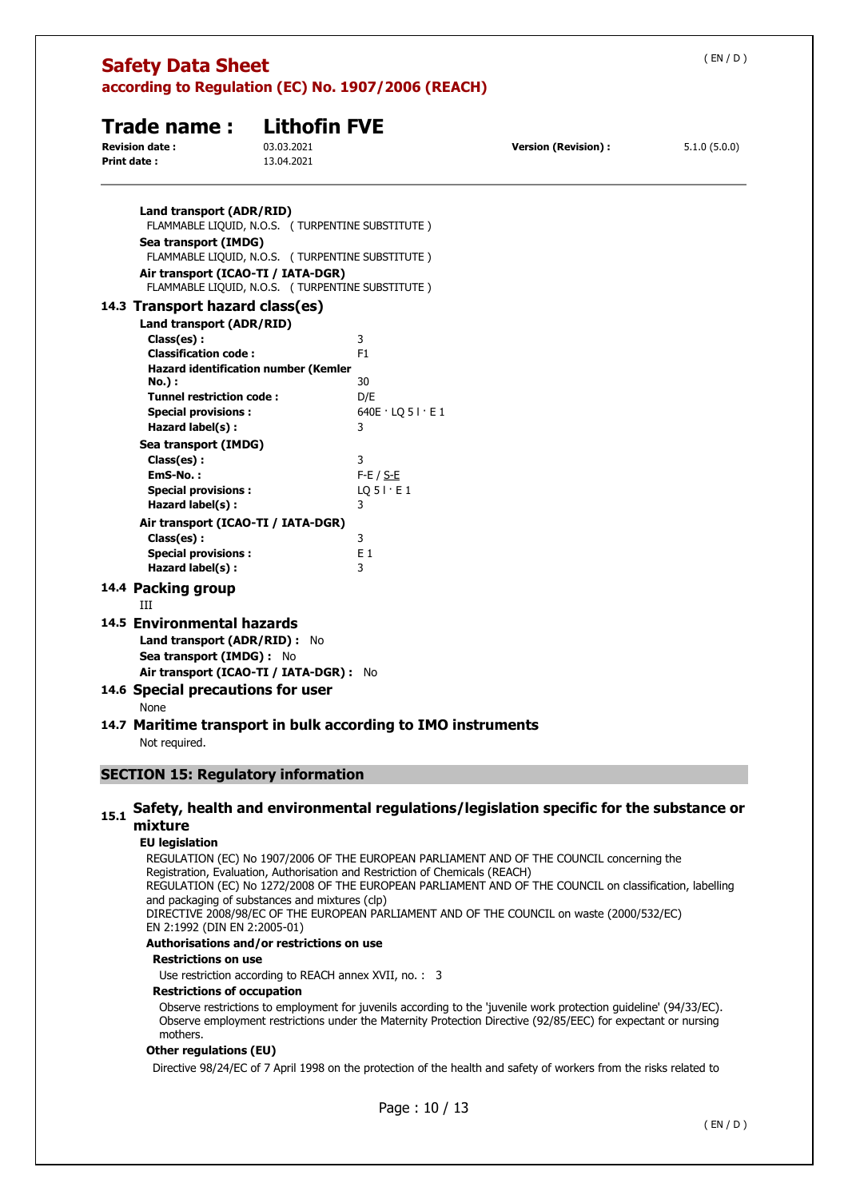| <b>Safety Data Sheet</b><br>according to Regulation (EC) No. 1907/2006 (REACH)                                                                                                                                                                                                                                                                                                                                                                |                                                 |                                                                                                                                                            |                            |              |
|-----------------------------------------------------------------------------------------------------------------------------------------------------------------------------------------------------------------------------------------------------------------------------------------------------------------------------------------------------------------------------------------------------------------------------------------------|-------------------------------------------------|------------------------------------------------------------------------------------------------------------------------------------------------------------|----------------------------|--------------|
| Trade name:<br><b>Revision date:</b><br><b>Print date:</b>                                                                                                                                                                                                                                                                                                                                                                                    | <b>Lithofin FVE</b><br>03.03.2021<br>13.04.2021 |                                                                                                                                                            | <b>Version (Revision):</b> | 5.1.0(5.0.0) |
| Land transport (ADR/RID)<br>Sea transport (IMDG)<br>Air transport (ICAO-TI / IATA-DGR)                                                                                                                                                                                                                                                                                                                                                        |                                                 | FLAMMABLE LIQUID, N.O.S. (TURPENTINE SUBSTITUTE)<br>FLAMMABLE LIQUID, N.O.S. (TURPENTINE SUBSTITUTE)<br>FLAMMABLE LIQUID, N.O.S. ( TURPENTINE SUBSTITUTE ) |                            |              |
| 14.3 Transport hazard class(es)<br>Land transport (ADR/RID)<br>Class(es):<br><b>Classification code:</b><br><b>Hazard identification number (Kemler</b><br>No.) :<br><b>Tunnel restriction code:</b><br><b>Special provisions:</b><br>Hazard label(s) :<br>Sea transport (IMDG)<br>Class(es):<br>EmS-No.:<br><b>Special provisions:</b><br>Hazard label(s):<br>Air transport (ICAO-TI / IATA-DGR)<br>Class(es):<br><b>Special provisions:</b> |                                                 | 3<br>F <sub>1</sub><br>30<br>D/E<br>$640E \cdot LQ 5I \cdot E1$<br>3<br>3<br>$F-E / S-E$<br>$LQ$ 5   $\cdot$ E 1<br>3<br>3<br>$E_1$                        |                            |              |
| Hazard label(s):<br>14.4 Packing group                                                                                                                                                                                                                                                                                                                                                                                                        |                                                 | 3                                                                                                                                                          |                            |              |
| Ш<br>14.5 Environmental hazards<br>Land transport (ADR/RID) : No<br>Sea transport (IMDG) : No<br>Air transport (ICAO-TI / IATA-DGR) : No                                                                                                                                                                                                                                                                                                      |                                                 |                                                                                                                                                            |                            |              |
| 14.6 Special precautions for user<br>None                                                                                                                                                                                                                                                                                                                                                                                                     |                                                 |                                                                                                                                                            |                            |              |
| Not required.                                                                                                                                                                                                                                                                                                                                                                                                                                 |                                                 | 14.7 Maritime transport in bulk according to IMO instruments                                                                                               |                            |              |
| <b>SECTION 15: Regulatory information</b>                                                                                                                                                                                                                                                                                                                                                                                                     |                                                 |                                                                                                                                                            |                            |              |

# 15.1 Safety, health and environmental regulations/legislation specific for the substance or **mixture**

#### **EU legislation**

REGULATION (EC) No 1907/2006 OF THE EUROPEAN PARLIAMENT AND OF THE COUNCIL concerning the Registration, Evaluation, Authorisation and Restriction of Chemicals (REACH) REGULATION (EC) No 1272/2008 OF THE EUROPEAN PARLIAMENT AND OF THE COUNCIL on classification, labelling and packaging of substances and mixtures (clp) DIRECTIVE 2008/98/EC OF THE EUROPEAN PARLIAMENT AND OF THE COUNCIL on waste (2000/532/EC) EN 2:1992 (DIN EN 2:2005-01) **Authorisations and/or restrictions on use Restrictions on use**  Use restriction according to REACH annex XVII, no. : 3 **Restrictions of occupation**  Observe restrictions to employment for juvenils according to the 'juvenile work protection guideline' (94/33/EC).

# Observe employment restrictions under the Maternity Protection Directive (92/85/EEC) for expectant or nursing mothers.

#### **Other regulations (EU)**

Directive 98/24/EC of 7 April 1998 on the protection of the health and safety of workers from the risks related to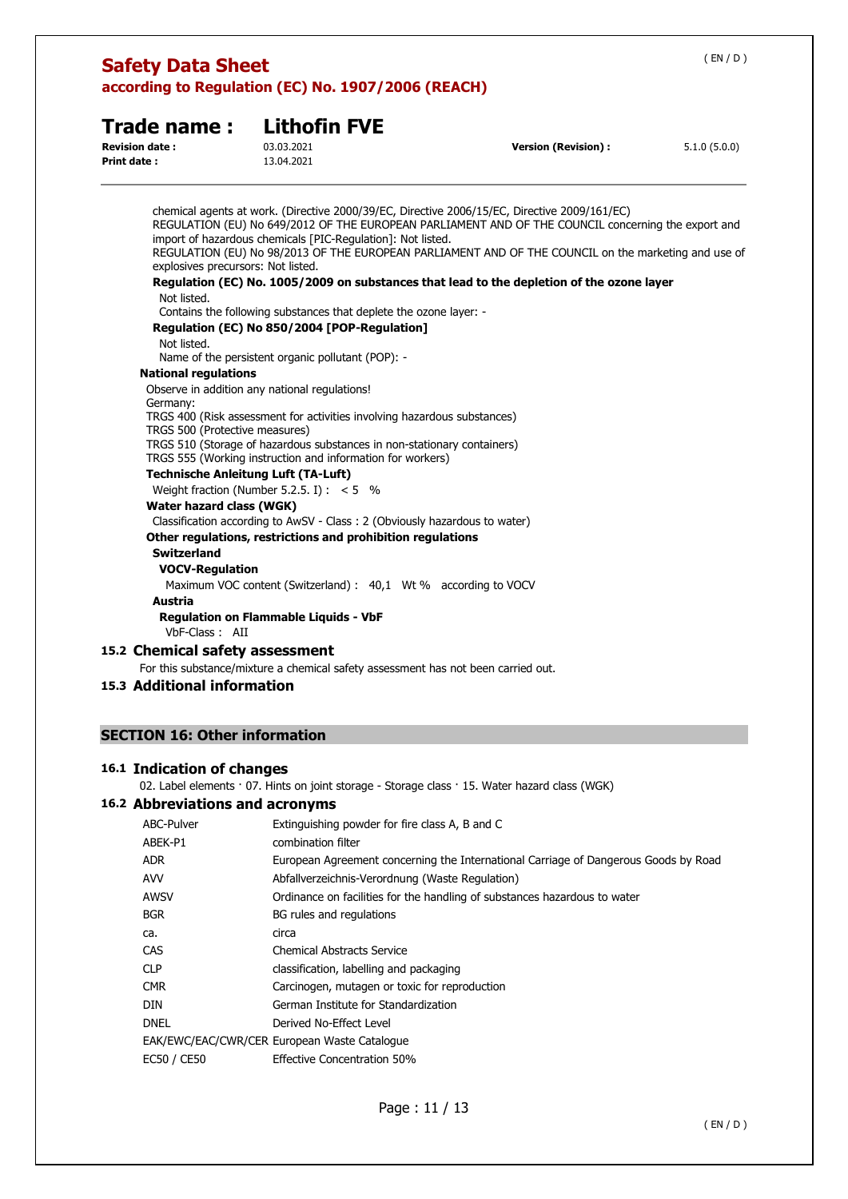| <b>Trade name:</b><br><b>Revision date:</b><br><b>Print date:</b> | <b>Lithofin FVE</b><br>03.03.2021<br>13.04.2021                                                                   | <b>Version (Revision):</b>                                                                                                                                                                                                                                                                                  | 5.1.0(5.0.0) |
|-------------------------------------------------------------------|-------------------------------------------------------------------------------------------------------------------|-------------------------------------------------------------------------------------------------------------------------------------------------------------------------------------------------------------------------------------------------------------------------------------------------------------|--------------|
| explosives precursors: Not listed.                                | import of hazardous chemicals [PIC-Regulation]: Not listed.                                                       | chemical agents at work. (Directive 2000/39/EC, Directive 2006/15/EC, Directive 2009/161/EC)<br>REGULATION (EU) No 649/2012 OF THE EUROPEAN PARLIAMENT AND OF THE COUNCIL concerning the export and<br>REGULATION (EU) No 98/2013 OF THE EUROPEAN PARLIAMENT AND OF THE COUNCIL on the marketing and use of |              |
|                                                                   |                                                                                                                   | Regulation (EC) No. 1005/2009 on substances that lead to the depletion of the ozone layer                                                                                                                                                                                                                   |              |
| Not listed.                                                       |                                                                                                                   |                                                                                                                                                                                                                                                                                                             |              |
|                                                                   | Contains the following substances that deplete the ozone layer: -<br>Regulation (EC) No 850/2004 [POP-Regulation] |                                                                                                                                                                                                                                                                                                             |              |
| Not listed.                                                       | Name of the persistent organic pollutant (POP): -                                                                 |                                                                                                                                                                                                                                                                                                             |              |
| <b>National regulations</b>                                       |                                                                                                                   |                                                                                                                                                                                                                                                                                                             |              |
|                                                                   | Observe in addition any national regulations!                                                                     |                                                                                                                                                                                                                                                                                                             |              |
| Germany:                                                          |                                                                                                                   |                                                                                                                                                                                                                                                                                                             |              |
|                                                                   | TRGS 400 (Risk assessment for activities involving hazardous substances)                                          |                                                                                                                                                                                                                                                                                                             |              |
| TRGS 500 (Protective measures)                                    | TRGS 510 (Storage of hazardous substances in non-stationary containers)                                           |                                                                                                                                                                                                                                                                                                             |              |
|                                                                   | TRGS 555 (Working instruction and information for workers)                                                        |                                                                                                                                                                                                                                                                                                             |              |
|                                                                   | <b>Technische Anleitung Luft (TA-Luft)</b>                                                                        |                                                                                                                                                                                                                                                                                                             |              |
|                                                                   | Weight fraction (Number 5.2.5. I) : $< 5$ %                                                                       |                                                                                                                                                                                                                                                                                                             |              |
| Water hazard class (WGK)                                          |                                                                                                                   |                                                                                                                                                                                                                                                                                                             |              |
|                                                                   | Classification according to AwSV - Class: 2 (Obviously hazardous to water)                                        |                                                                                                                                                                                                                                                                                                             |              |
|                                                                   | Other regulations, restrictions and prohibition regulations                                                       |                                                                                                                                                                                                                                                                                                             |              |
| <b>Switzerland</b>                                                |                                                                                                                   |                                                                                                                                                                                                                                                                                                             |              |
| <b>VOCV-Regulation</b>                                            |                                                                                                                   |                                                                                                                                                                                                                                                                                                             |              |
|                                                                   | Maximum VOC content (Switzerland) : 40,1 Wt % according to VOCV                                                   |                                                                                                                                                                                                                                                                                                             |              |
| <b>Austria</b>                                                    |                                                                                                                   |                                                                                                                                                                                                                                                                                                             |              |
| VbF-Class: AII                                                    | <b>Regulation on Flammable Liquids - VbF</b>                                                                      |                                                                                                                                                                                                                                                                                                             |              |

# **15.2 Chemical safety assessment**

For this substance/mixture a chemical safety assessment has not been carried out.

# **15.3 Additional information**

# **SECTION 16: Other information**

# **16.1 Indication of changes**

02. Label elements · 07. Hints on joint storage - Storage class · 15. Water hazard class (WGK)

# **16.2 Abbreviations and acronyms**

| ABC-Pulver  | Extinguishing powder for fire class A, B and C                                      |
|-------------|-------------------------------------------------------------------------------------|
| ABEK-P1     | combination filter                                                                  |
| adr.        | European Agreement concerning the International Carriage of Dangerous Goods by Road |
| AVV         | Abfallverzeichnis-Verordnung (Waste Regulation)                                     |
| AWSV        | Ordinance on facilities for the handling of substances hazardous to water           |
| BGR         | BG rules and regulations                                                            |
| ca.         | circa                                                                               |
| CAS         | <b>Chemical Abstracts Service</b>                                                   |
| CLP         | classification, labelling and packaging                                             |
| CMR         | Carcinogen, mutagen or toxic for reproduction                                       |
| DIN         | German Institute for Standardization                                                |
| dnel        | Derived No-Effect Level                                                             |
|             | EAK/EWC/EAC/CWR/CER European Waste Catalogue                                        |
| EC50 / CE50 | <b>Effective Concentration 50%</b>                                                  |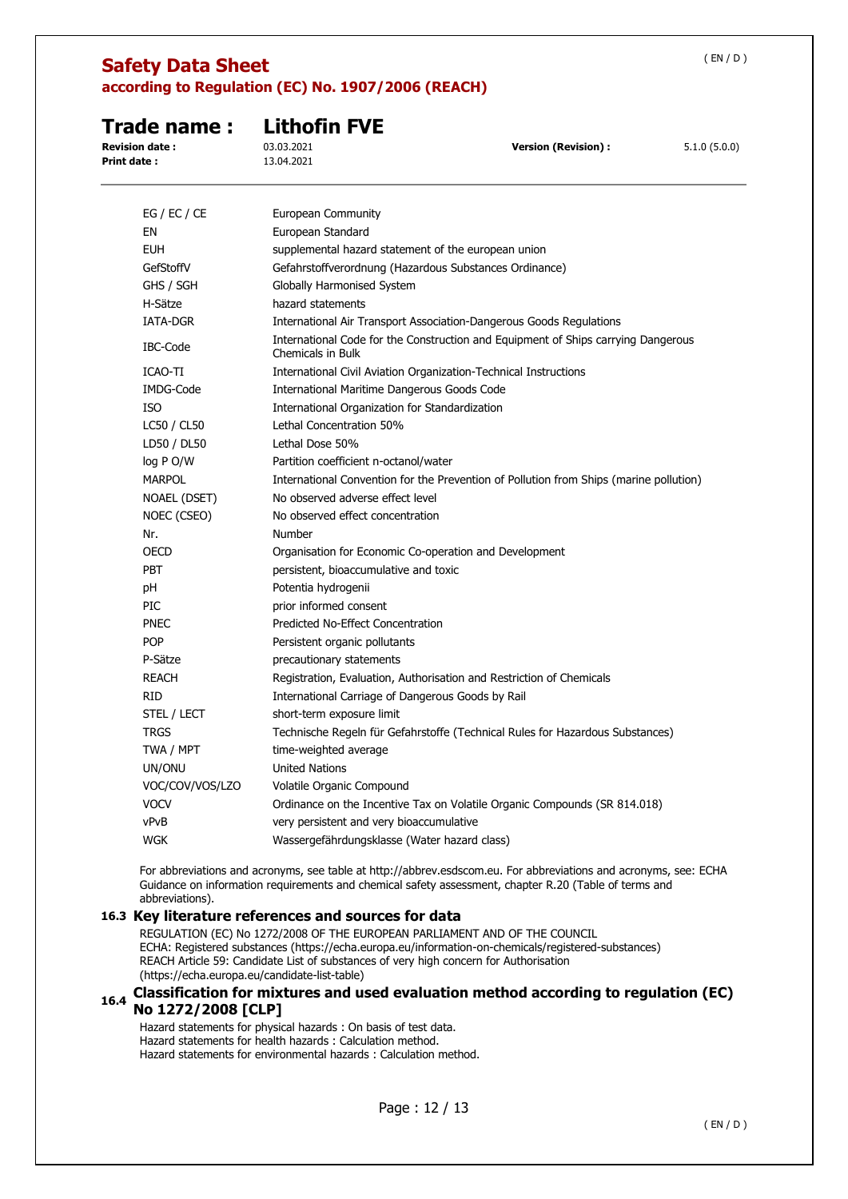|--|--|--|--|--|

# **Trade name : Lithofin FVE**

**Print date :** 13.04.2021

**Revision date :** 03.03.2021 **Version (Revision) :** 5.1.0 (5.0.0)

| EG / EC / CE    | European Community                                                                                     |
|-----------------|--------------------------------------------------------------------------------------------------------|
| ΕN              | European Standard                                                                                      |
| <b>EUH</b>      | supplemental hazard statement of the european union                                                    |
| GefStoffV       | Gefahrstoffverordnung (Hazardous Substances Ordinance)                                                 |
| GHS / SGH       | Globally Harmonised System                                                                             |
| H-Sätze         | hazard statements                                                                                      |
| <b>IATA-DGR</b> | International Air Transport Association-Dangerous Goods Regulations                                    |
| IBC-Code        | International Code for the Construction and Equipment of Ships carrying Dangerous<br>Chemicals in Bulk |
| ICAO-TI         | International Civil Aviation Organization-Technical Instructions                                       |
| IMDG-Code       | International Maritime Dangerous Goods Code                                                            |
| ISO             | International Organization for Standardization                                                         |
| LC50 / CL50     | Lethal Concentration 50%                                                                               |
| LD50 / DL50     | Lethal Dose 50%                                                                                        |
| log P O/W       | Partition coefficient n-octanol/water                                                                  |
| <b>MARPOL</b>   | International Convention for the Prevention of Pollution from Ships (marine pollution)                 |
| NOAEL (DSET)    | No observed adverse effect level                                                                       |
| NOEC (CSEO)     | No observed effect concentration                                                                       |
| Nr.             | Number                                                                                                 |
| <b>OECD</b>     | Organisation for Economic Co-operation and Development                                                 |
| <b>PBT</b>      | persistent, bioaccumulative and toxic                                                                  |
| рH              | Potentia hydrogenii                                                                                    |
| PIC             | prior informed consent                                                                                 |
| <b>PNEC</b>     | Predicted No-Effect Concentration                                                                      |
| <b>POP</b>      | Persistent organic pollutants                                                                          |
| P-Sätze         | precautionary statements                                                                               |
| <b>REACH</b>    | Registration, Evaluation, Authorisation and Restriction of Chemicals                                   |
| RID             | International Carriage of Dangerous Goods by Rail                                                      |
| STEL / LECT     | short-term exposure limit                                                                              |
| <b>TRGS</b>     | Technische Regeln für Gefahrstoffe (Technical Rules for Hazardous Substances)                          |
| TWA / MPT       | time-weighted average                                                                                  |
| UN/ONU          | <b>United Nations</b>                                                                                  |
| VOC/COV/VOS/LZO | Volatile Organic Compound                                                                              |
| <b>VOCV</b>     | Ordinance on the Incentive Tax on Volatile Organic Compounds (SR 814.018)                              |
| vPvB            | very persistent and very bioaccumulative                                                               |
| <b>WGK</b>      | Wassergefährdungsklasse (Water hazard class)                                                           |

For abbreviations and acronyms, see table at http://abbrev.esdscom.eu. For abbreviations and acronyms, see: ECHA Guidance on information requirements and chemical safety assessment, chapter R.20 (Table of terms and abbreviations).

# **16.3 Key literature references and sources for data**

REGULATION (EC) No 1272/2008 OF THE EUROPEAN PARLIAMENT AND OF THE COUNCIL ECHA: Registered substances (https://echa.europa.eu/information-on-chemicals/registered-substances) REACH Article 59: Candidate List of substances of very high concern for Authorisation (https://echa.europa.eu/candidate-list-table)

# **16.4 Classification for mixtures and used evaluation method according to regulation (EC) No 1272/2008 [CLP]**

Hazard statements for physical hazards : On basis of test data. Hazard statements for health hazards : Calculation method. Hazard statements for environmental hazards : Calculation method.